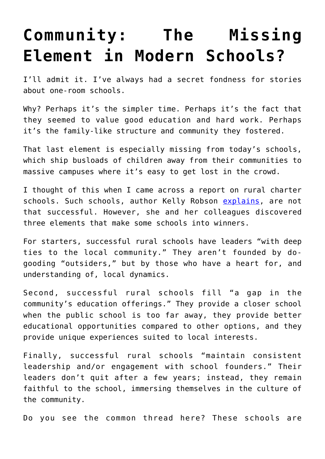## **[Community: The Missing](https://intellectualtakeout.org/2019/09/community-the-missing-element-in-modern-schools/) [Element in Modern Schools?](https://intellectualtakeout.org/2019/09/community-the-missing-element-in-modern-schools/)**

I'll admit it. I've always had a secret fondness for stories about one-room schools.

Why? Perhaps it's the simpler time. Perhaps it's the fact that they seemed to value good education and hard work. Perhaps it's the family-like structure and community they fostered.

That last element is especially missing from today's schools, which ship busloads of children away from their communities to massive campuses where it's easy to get lost in the crowd.

I thought of this when I came across a report on rural charter schools. Such schools, author Kelly Robson [explains,](https://www.educationnext.org/three-factors-critical-rural-charter-schools-success/) are not that successful. However, she and her colleagues discovered three elements that make some schools into winners.

For starters, successful rural schools have leaders "with deep ties to the local community." They aren't founded by dogooding "outsiders," but by those who have a heart for, and understanding of, local dynamics.

Second, successful rural schools fill "a gap in the community's education offerings." They provide a closer school when the public school is too far away, they provide better educational opportunities compared to other options, and they provide unique experiences suited to local interests.

Finally, successful rural schools "maintain consistent leadership and/or engagement with school founders." Their leaders don't quit after a few years; instead, they remain faithful to the school, immersing themselves in the culture of the community.

Do you see the common thread here? These schools are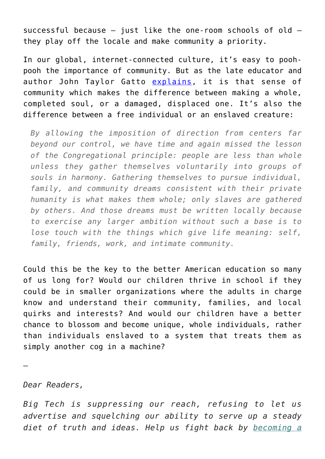successful because – just like the one-room schools of old – they play off the locale and make community a priority.

In our global, internet-connected culture, it's easy to poohpooh the importance of community. But as the late educator and author John Taylor Gatto [explains,](https://www.amazon.com/gp/product/0865718547/ref=as_li_qf_asin_il_tl?ie=UTF8&tag=intelltakeo0d-20&creative=9325&linkCode=as2&creativeASIN=0865718547&linkId=c98868bf4e34b6cf025b4d8b07839704) it is that sense of community which makes the difference between making a whole, completed soul, or a damaged, displaced one. It's also the difference between a free individual or an enslaved creature:

*By allowing the imposition of direction from centers far beyond our control, we have time and again missed the lesson of the Congregational principle: people are less than whole unless they gather themselves voluntarily into groups of souls in harmony. Gathering themselves to pursue individual, family, and community dreams consistent with their private humanity is what makes them whole; only slaves are gathered by others. And those dreams must be written locally because to exercise any larger ambition without such a base is to lose touch with the things which give life meaning: self, family, friends, work, and intimate community.*

Could this be the key to the better American education so many of us long for? Would our children thrive in school if they could be in smaller organizations where the adults in charge know and understand their community, families, and local quirks and interests? And would our children have a better chance to blossom and become unique, whole individuals, rather than individuals enslaved to a system that treats them as simply another cog in a machine?

—

## *Dear Readers,*

*Big Tech is suppressing our reach, refusing to let us advertise and squelching our ability to serve up a steady diet of truth and ideas. Help us fight back by [becoming a](https://www.chroniclesmagazine.org/subscribe/)*